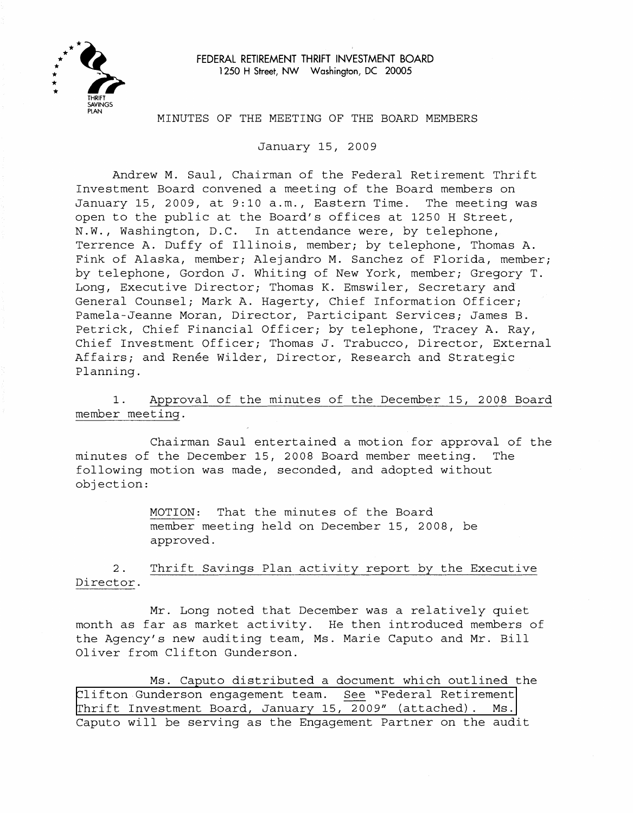

FEDERAL RETIREMENT THRIFT INVESTMENT BOARD **1250** H Street, NW Washington, DC **20005** 

#### MINUTES OF THE MEETING OF THE BOARD MEMBERS

January 15, 2009

Andrew M. Saul, Chairman of the Federal Retirement Thrift Investment Board convened a meeting of the Board members on January 15, 2009, at 9:10 a.m., Eastern Time. The meeting was open to the public at the Board's offices at 1250 H Street, N.W., Washington, D.C. In attendance were, by telephone, Terrence A. Duffy of Illinois, member; by telephone, Thomas A. Fink of Alaska, member; Alejandro M. Sanchez of Florida, member; by telephone, Gordon J. Whiting of New York, member; Gregory T. Long, Executive Director; Thomas K. Emswiler, Secretary and General Counsel; Mark A. Hagerty, Chief Information Officer; Pamela-Jeanne Moran, Director, Participant Services; James B. Petrick, Chief Financial Officer; by telephone, Tracey A. Ray, Chief Investment Officer; Thomas J. Trabucco, Director, External Affairs; and Ren6e Wilder, Director, Research and Strategic Planning.

1. Approval of the minutes of the December 15, 2008 Board member meeting.

Chairman Saul entertained a motion for approval of the minutes of the December 15, 2008 Board member meeting. The following motion was made, seconded, and adopted without objection:

> MOTION: That the minutes of the Board member meeting held on December 15, 2008, be approved.

2. Thrift Savings Plan activity report by the Executive Director.

Mr. Long noted that December was a relatively quiet month as far as market activity. He then introduced members of the Agency's new auditing team, Ms. Marie Caputo and Mr. Bill Oliver from Clifton Gunderson.

Ms. Caputo distributed a document which outlined the [Clifton Gunderson engagement team. See "Federal Retirement](http://www.frtib.gov/pdf/minutes/MM-2009Jan-Att50315.pdf)  Thrift Investment Board, January 15, 2009" (attached). Ms. Caputo will be serving as the Engagement Partner on the audit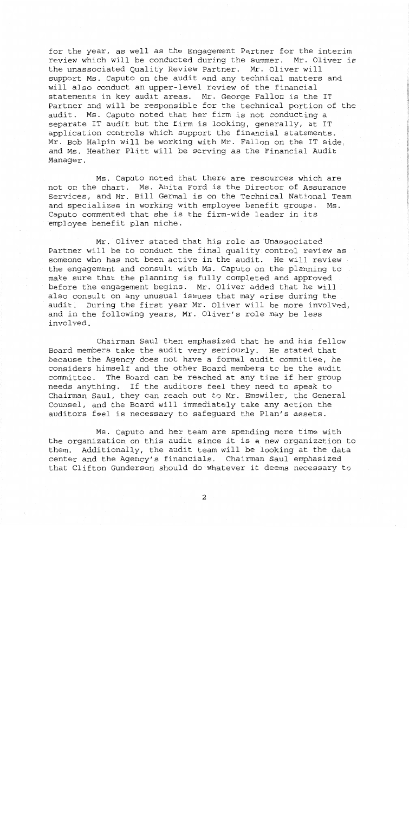for the year, as well as the Engagement Partner for the interim review which will be conducted during the summer. Mr. Oliver is the unassociated Quality Review Partner. Mr. Oliver will support Ms. Caputo on the audit and any technical matters and will also conduct an upper-level review of the financial statements in key audit areas. Mr. George Fallon is the IT Partner and will be responsible for the technical portion of the audit. Ms. Caputo noted that her firm is not conducting a separate IT audit but the firm is looking, generally, at IT application controls which support the financial statements. Mr. Bob Halpin will be working with Mr. Fallon on the IT side, and Ms. Heather Plitt will be serving as the Financial Audit Manager.

Ms. Caputo noted that there are resources which are not on the chart. Ms. Anita Ford is the Director of Assurance Services, and Mr. Bill Germal is on the Technical National Team and specializes in working with employee benefit groups. Ms. Caputo commented that she is the firm-wide leader in its employee benefit plan niche.

Mr. Oliver stated that his role as Unassociated Partner will be to conduct the final quality control review as someone who has not been active in the audit. He will review the engagement and consult with Ms. Caputo on the planning to make sure that the planning is fully completed and approved before the engagement begins. Mr. Oliver added that he will also consult on any unusual issues that may arise during the audit. During the first year Mr. Oliver will be more involved, and in the following years, Mr. Oliver's role may be less involved.

Chairman Saul then emphasized that he and his fellow Board members take the audit very seriously. He stated that because the Agency does not have a formal audit committee, he considers himself and the other Board members to be the audit committee. The Board can be reached at any time if her group needs anything. If the auditors feel they need to speak to Chairman Saul, they can reach out to Mr. Emswiler, the General Counsel, and the Board will immediately take any action the auditors feel is necessary to safeguard the Plan's assets.

Ms. Caputo and her team are spending more time with the organization on this audit since it is a new organization to them. Additionally, the audit team will be looking at the data center and the Agency's financials. Chairman Saul emphasized that Clifton Gunderson should do whatever it deems necessary to

 $\boldsymbol{2}$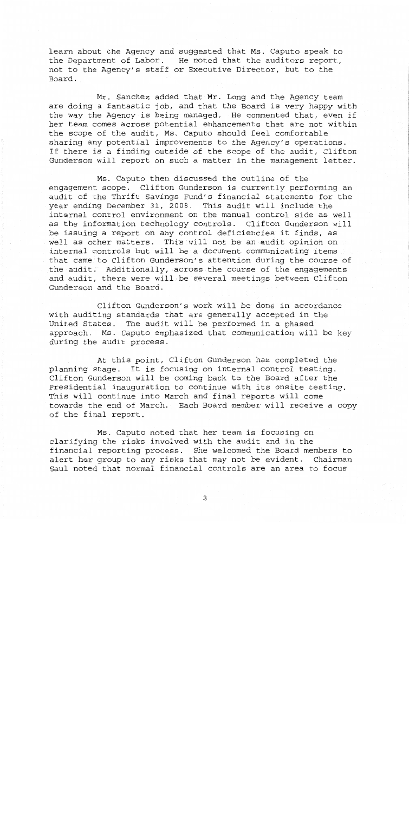learn about the Agency and suggested that Ms. Caputo speak to the Department of Labor. He noted that the auditors report, not to the Agency's staff or Executive Director, but to the Board.

Mr. Sanchez added that Mr. Long and the Agency team are doing a fantastic job, and that the Board is very happy with the way the Agency is being managed. He commented that, even if her team comes across potential enhancements that are not within the scope of the audit, Ms. Caputo should feel comfortable sharing any potential improvements to the Agency's operations. If there is a finding outside of the scope of the audit, Clifton Gunderson will report on such a matter in the management letter.

Ms. Caputo then discussed the outline of the engagement scope. Clifton Gunderson is currently performing an audit of the Thrift Savings Fund's financial statements for the year ending December 31, 2008. This audit will include the internal control environment on the manual control side as well as the information technology controls. Clifton Gunderson will be issuing a report on any control deficiencies it finds, as well as other matters. This will not be an audit opinion on internal controls but will be a document communicating items that came to Clifton Gunderson's attention during the course of the audit. Additionally, across the course of the engagements and audit, there were will be several meetings between Clifton Gunderson and the Board.

Clifton Gunderson's work will be done in accordance with auditing standards that are generally accepted in the United States. The audit will be performed in a phased approach. Ms. Caputo emphasized that communication will be key during the audit process.

At this point, Clifton Gunderson has completed the planning stage. It is focusing on internal control testing. Clifton Gunderson will be coming back to the Board after the Presidential inauguration to continue with its onsite testing. This will continue into March and final reports will come towards the end of March. Each Board member will receive a copy of the final report.

Ms. Caputo noted that her team is focusing on clarifying the risks involved with the audit and in the financial reporting process. She welcomed the Board members to alert her group to any risks that may not be evident. Chairman Saul noted that normal financial controls are an area to focus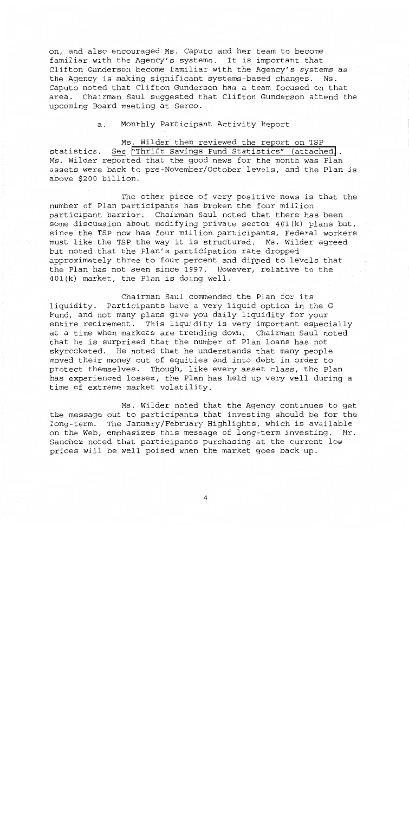on, and also encouraged Ms. Caputo and her team to become familiar with the Agency's systems. It is important that Clifton Gunderson become familiar with the Agency's systems as the Agency is making significant systems-based changes. Ms. Caputo noted that Clifton Gunderson has a team focused on that area. Chairman Saul suggested that Clifton Gunderson attend the upcoming Board meeting at Serco.

a. Monthly Participant Activity Report

Ms. Wilder then reviewed the report on TSP<br>See "Thrift Savings Fund Statistics" (attached). a. Monthly Participant Activity Report<br>Ms. Wilder then reviewed the report on TSP<br>statistics. <u>See</u> ["Thrift Savings Fund Statistics" \(attached\)](http://www.frtib.gov/pdf/minutes/MM-2009Jan-Att1fundstatistics.pdf).<br>Ms. Wilder reported that the good news for the month was Plan assets were back to pre-November/October levels, and the Plan is above \$200 billion.

The other piece of very positive news is that the number of Plan participants has broken the four million participant barrier. Chairman Saul noted that there has been some discussion about modifying private sector 401(k) plans but, since the TSP now has four million participants, Federal workers must like the TSP the way it is structured. Ms. Wilder agreed but noted that the Plan's participation rate dropped approximately three to four percent and dipped to levels that the Plan has not seen since 1997. However, relative to the 401 (k) market, the Plan is doing well.

Chairman Saul commended the Plan for its liquidity. Participants have a very liquid option in the **G**  Fund, and not many plans give you daily liquidity for your entire retirement. This liquidity is very important especially at a time when markets are trending down. Chairman Saul noted that he is surprised that the number of Plan loans has not skyrocketed. He noted that he understands that many people moved their money out of equities and into debt in order to protect themselves. Though, like every asset class, the Plan has experienced losses, the Plan has held up very well during a time of extreme market volatility.

Ms. Wilder noted that the Agency continues to get the message out to participants that investing should be for the long-term. The January/February Highlights, which is available on the Web, emphasizes this message of long-term investing. Mr. Sanchez noted that participants purchasing at the current low prices will be well poised when the market goes back up.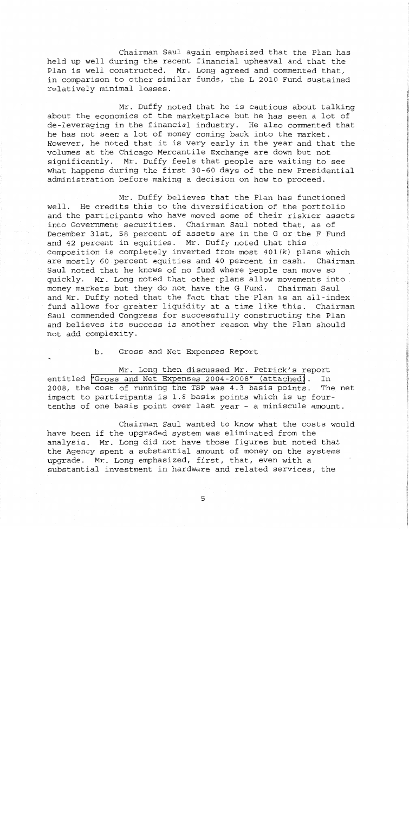Chairman Saul again emphasized that the Plan has held up well during the recent financial upheaval and that the Plan is well constructed. Mr. Long agreed and commented that, in comparison to other similar funds, the L 2010 Fund sustained relatively minimal losses.

Mr. Duffy noted that he is cautious about talking about the economics of the marketplace but he has seen a lot of de-leveraging in the financial industry. He also commented that he has not seen a lot of money coming back into the market. However, he noted that it is very early in the year and that the volumes at the Chicago Mercantile Exchange are down but not significantly. Mr. Duffy feels that people are waiting to see what happens during the first 30-60 days of the new Presidential administration before making a decision on how to proceed.

Mr. Duffy believes that the Plan has functioned well. He credits this to the diversification of the portfolio and the participants who have moved some of their riskier assets into Government securities. Chairman Saul noted that, as of December 31st, 58 percent of assets are in the G or the F Fund and 42 percent in equities. Mr. Duffy noted that this composition is completely inverted from most 401(k) plans which are mostly 60 percent equities and 40 percent in cash. Chairman Saul noted that he knows of no fund where people can move so quickly. Mr. Long noted that other plans allow movements into money markets but they do not have the G Fund. Chairman Saul and Mr. Duffy noted that the fact that the Plan is an all-index fund allows for greater liquidity at a time like this. Chairman Saul commended Congress for successfully constructing the Plan and believes its success is another reason why the Plan should not add complexity.

b. Gross and Net Expenses Report .

Mr. Long then discussed Mr. Petrick's report entitled ["Gross and Net Expenses 2004-2008" \(attached\)](http://www.frtib.gov/pdf/minutes/MM-2009Jan-Att2Expenses.pdf). In 2008, the cost of running the TSP was 4.3 basis points. The net impact to participants is 1.8 basis points which is up fourtenths of one basis point over last year - a miniscule amount.

Chairman Saul wanted to know what the costs would have been if the upgraded system was eliminated from the analysis. Mr. Long did not have those figures but noted that the Agency spent a substantial amount of money on the systems upgrade. Mr. Long emphasized, first, that, even with a substantial investment in hardware and related services, the

5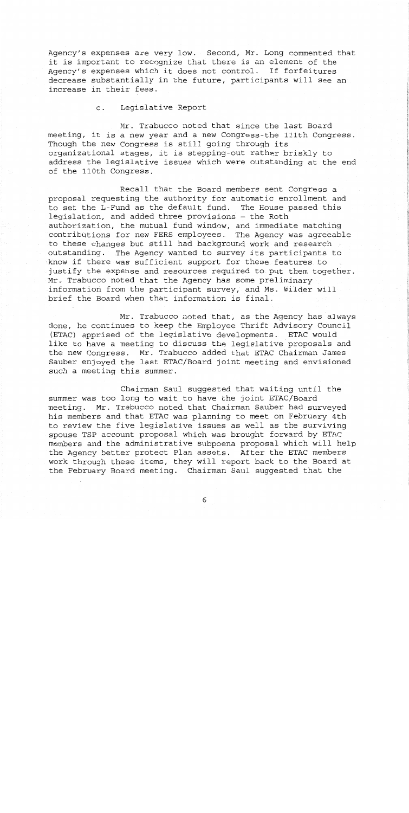Agency's expenses are very low. Second, Mr. Long commented that it is important to recognize that there is an element of the Agency's expenses which it does not control. If forfeitures decrease substantially in the future, participants will see an increase in their fees.

c. Legislative Report

Mr. Trabucco noted that since the last Board meeting, it is a new year and a new Congress-the 111th Congress. Though the new Congress is still going through its organizational stages, it is stepping-out rather briskly to address the legislative issues which were outstanding at the end of the 110th Congress.

Recall that the Board members sent Congress a proposal requesting the authority for automatic enrollment and to set the L-Fund as the default fund. The House passed this legislation, and added three provisions - the Roth authorization, the mutual fund window, and immediate matching contributions for new FERS employees. The Agency was agreeable to these changes but still had background work and research outstanding. The Agency wanted to survey its participants to know if there was sufficient support for these features to justify the expense and resources required to put them together. Mr. Trabucco noted that the Agency has some preliminary information from the participant survey, and Ms. Wilder will brief the Board when that information is final.

Mr. Trabucco noted that, as the Agency has always done, he continues to keep the Employee Thrift Advisory Council (ETAC) apprised of the legislative developments. ETAC would like to have a meeting to discuss the legislative proposals and the new Congress. Mr. Trabucco added that ETAC Chairman James Sauber enjoyed the last ETAC/Board joint meeting and envisioned such a meeting this summer.

Chairman Saul suggested that waiting until the summer was too long to wait to have the joint ETAC/Board meeting. Mr. Trabucco noted that Chairman Sauber had surveyed his members and that ETAC was planning to meet on February 4th to review the five legislative issues as well as the surviving spouse TSP account proposal which was brought forward by ETAC members and the administrative subpoena proposal which will help the Agency better protect Plan assets. After the ETAC members work through these items, they will report back to the Board at the February Board meeting. Chairman Saul suggested that the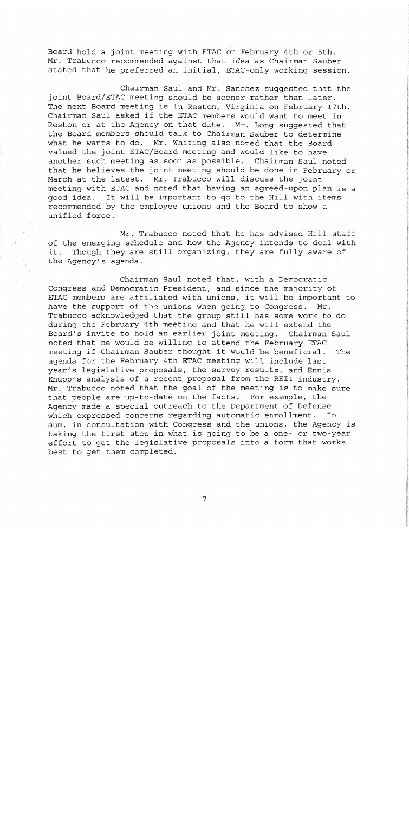Board hold a joint meeting with ETAC on February 4th or 5th. Mr. Trabucco recommended against that idea as Chairman Sauber stated that he preferred an initial, ETAC-only working session.

Chairman Saul and Mr. Sanchez suggested that the joint Board/ETAC meeting should be sooner rather than later. The next Board meeting is in Reston, Virginia on February 17th. Chairman Saul asked if the ETAC members would want to meet in Reston or at the Agency on that date. Mr. Long suggested that the Board members should talk to Chairman Sauber to determine what he wants to do. Mr. Whiting also noted that the Board valued the joint ETAC/Board meeting and would like to have another such meeting as soon as possible. Chairman Saul noted that he believes the joint meeting should be done in February or March at the latest. Mr. Trabucco will discuss the joint meeting with ETAC and noted that having an agreed-upon plan is a good idea. It will be important to go to the Hill with items recommended by the employee unions and the Board to show a unified force.

Mr. Trabucco noted that he has advised Hill staff of the emerging schedule and how the Agency intends to deal with it. Though they are still organizing, they are fully aware of the Agency's agenda.

Chairman Saul noted that, with a Democratic Congress and Democratic President, and since the majority of ETAC members are affiliated with unions, it will be important to have the support of the unions when going to Congress. Mr. Trabucco acknowledged that the group still has some work to do during the February 4th meeting and that he will extend the Board's invite to hold an earlier joint meeting. Chairman Saul noted that he would be willing to attend the February ETAC meeting if Chairman Sauber thought it would be beneficial. The agenda for the February 4th ETAC meeting will include last year's legislative proposals, the survey results, and Ennis Knupp's analysis of a recent proposal from the REIT industry. Mr. Trabucco noted that the goal of the meeting is to make sure that people are up-to-date on the facts. For example, the Agency made a special outreach to the Department of Defense which expressed concerns regarding automatic enrollment. In sum, in consultation with Congress and the unions, the Agency is taking the first step in what is going to be a one- or two-year effort to get the legislative proposals into a form that works best to get them completed.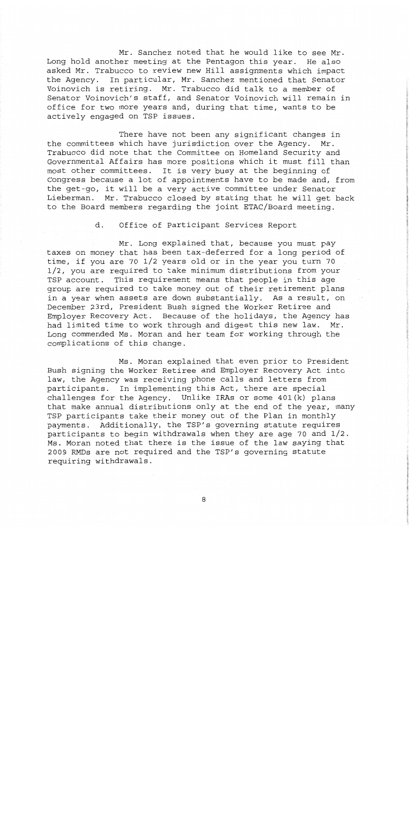Mr. Sanchez noted that he would like to see Mr. Long hold another meeting at the Pentagon this year. He also asked Mr. Trabucco to review new Hill assignments which impact the Agency. In particular, Mr. Sanchez mentioned that Senator Voinovich is retiring. Mr. Trabucco did talk to a member of Senator Voinovich's staff, and Senator Voinovich will remain in office for two more years and, during that time, wants to be actively engaged on TSP issues.

There have not been any significant changes in the committees which have jurisdiction over the Agency. Mr. Trabucco did note that the Committee on Homeland Security and Governmental Affairs has more positions which it must fill than most other committees. It is very busy at the beginning of Congress because a lot of appointments have to be made and, from the get-go, it will be a very active committee under Senator Lieberman. Mr. Trabucco closed by stating that he will get back to the Board members regarding the joint ETAC/Board meeting.

> d. Office of Participant Services Report

Mr. Long explained that, because you must pay taxes on money that has been tax-deferred for a long period of time, if you are 70 1/2 years old or in the year you turn 70 1/2, you are required to take minimum distributions from your TSP account. This requirement means that people in this age group are required to take money out of their retirement plans in a year when assets are down substantially. As a result, on December 23rd, President Bush signed the Worker Retiree and Employer Recovery Act. Because of the holidays, the Agency has had limited time to work through and digest this new law. Mr. Long commended Ms. Moran and her team for working through the complications of this change.

Ms. Moran explained that even prior to President Bush signing the Worker Retiree and Employer Recovery Act into law, the Agency was receiving phone calls and letters from participants. In implementing this Act, there are special challenges for the Agency. Unlike **IRAs** or some 401(k) plans that make annual distributions only at the end of the year, many TSP participants take their money out of the Plan in monthly payments. Additionally, the TSP's governing statute requires participants to begin withdrawals when they are age 70 and 1/2. Ms. Moran noted that there is the issue of the law saying that 2009 RMDs are not required and the TSP's governing statute requiring withdrawals.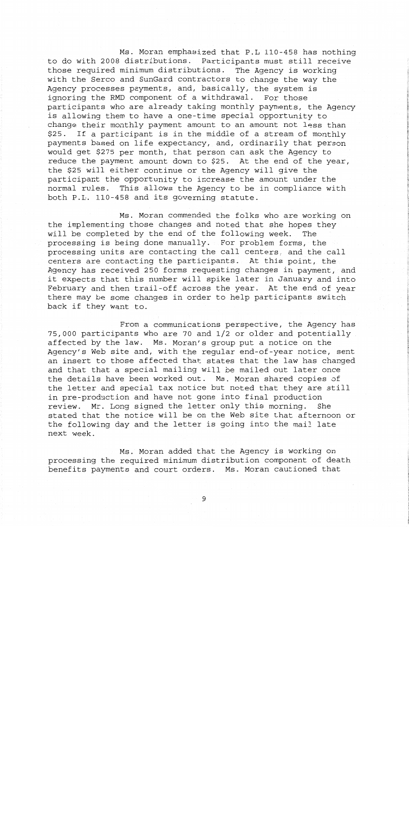Ms. Moran emphasized that P.L 110-458 has nothing to do with 2008 distributions. Participants must still receive those required minimum distributions. The Agency is working with the Serco and SunGard contractors to change the way the Agency processes payments, and, basically, the system is ignoring the RMD component of a withdrawal. For those participants who are already taking monthly payments, the Agency is allowing them to have a one-time special opportunity to change their monthly payment amount to an amount not less than \$25. If a participant is in the middle of a stream of monthly payments based on life expectancy, and, ordinarily that person would get \$275 per month, that person can ask the Agency to reduce the payment amount down to \$25. At the end of the year, the \$25 will either continue or the Agency will give the participant the opportunity to increase the amount under the normal rules. This allows the Agency to be in compliance with both P.L. 110-458 and its governing statute.

Ms. Moran commended the folks who are working on the implementing those changes and noted that she hopes they will be completed by the end of the following week. The processing is being done manually. For problem forms, the processing units are contacting the call centers, and the call centers are contacting the participants. At this point, the Agency has received 250 forms requesting changes in payment, and it expects that this number will spike later in January and into February and then trail-off across the year. At the end of year there may be some changes in order to help participants switch back if they want to.

From a communications perspective, the Agency has 75,000 participants who are 70 and 1/2 or older and potentially affected by the law. Ms. Moran's group put a notice on the Agency's Web site and, with the regular end-of-year notice, sent an insert to those affected that states that the law has changed and that that a special mailing will be mailed out later once the details have been worked out. Ms. Moran shared copies of the letter and special tax notice but noted that they are still in pre-production and have not gone into final production review. Mr. Long signed the letter only this morning. She stated that the notice will be on the Web site that afternoon or the following day and the letter is going into the mail late next week.

Ms. Moran added that the Agency is working on processing the required minimum distribution component of death benefits payments and court orders. Ms. Moran cautioned that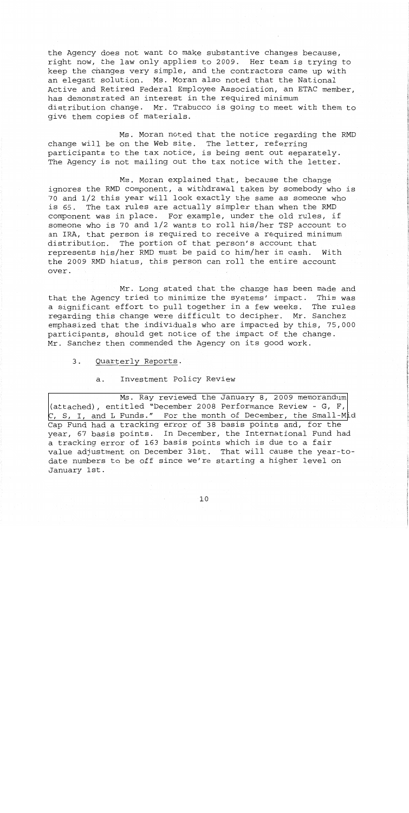the Agency does not want to make substantive changes because, right now, the law only applies to 2009. Her team is trying to keep the changes very simple, and the contractors came up with an elegant solution. Ms. Moran also noted that the National Active and Retired Federal Employee Association, an ETAC member, has demonstrated an interest in the required minimum distribution change. Mr. Trabucco is going to meet with them to give them copies of materials.

Ms. Moran noted that the notice regarding the RMD change will be on the Web site. The letter, referring participants to the tax notice, is being sent out separately. The Agency is not mailing out the tax notice with the letter.

!

**L** 

I

,

**I** 

Ms. Moran explained that, because the change ignores the RMD component, a withdrawal taken by somebody who is 70 and 1/2 this year will look exactly the same as someone who is 65. The tax rules are actually simpler than when the RMD component was in place. For example, under the old rules, if someone who is 70 and 1/2 wants to roll his/her TSP account to an IRA, that person is required to receive a required minimum distribution. The portion of that person's account that represents his/her RMD must be paid to him/her in cash. With the 2009 RMD hiatus, this person can roll the entire account over.

Mr. Long stated that the change has been made and that the Agency tried to minimize the systems' impact. This was a significant effort to pull together in a few weeks. The rules regarding this change were difficult **to** decipher. Mr. Sanchez emphasized that the individuals who are impacted by this, 75,000 participants, should get notice of the impact of the change. Mr. Sanchez then commended the Agency on its good work.

3. Quarterly Reports.

## a. Investment Policy Review

Ms. Ray reviewed the January **8,** 2009 memorandum (attached), entitled "December 2008 Performance Review - G, F, C, **S,** [I, and L Funds." For the month of December, the Small-M](http://www.frtib.gov/pdf/minutes/MM-2009Jan-Att3performancereview.pdf)id Cap Fund had a tracking error of **38** basis points and, for the year, 67 basis points. In December, the International Fund had a tracking error of **163** basis points which is due to a fair value adjustment on December 31st. That will cause the year-todate numbers to be off since we're starting a higher level on January 1st.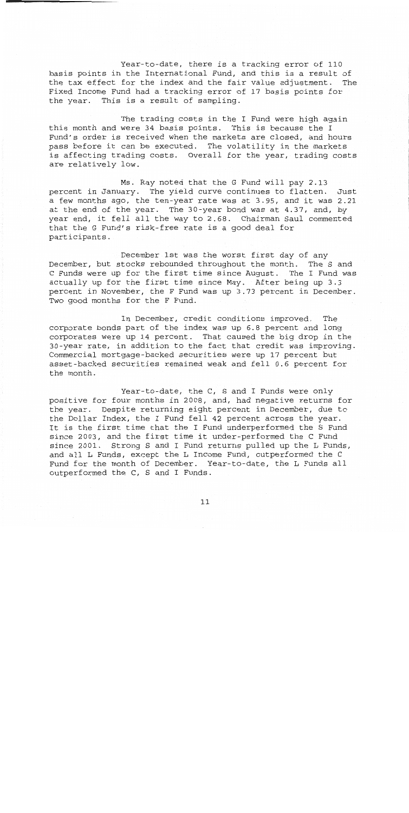Year-to-date, there is a tracking error of 110 basis points in the International Fund, and this is a result of the tax effect for the index and the fair value adjustment. The Fixed Income Fund had a tracking error of 17 basis points for the year. This is a result of sampling.

The trading costs in the I Fund were high again this month and were 34 basis points. This is because the I Fund's order is received when the markets are closed, and hours pass before it can be executed. The volatility in the markets is affecting trading costs. Overall for the year, trading costs are relatively low.

Ms. Ray noted that the G Fund will pay 2.13 percent in January. The yield curve continues to flatten. Just a few months ago, the ten-year rate was at 3.95, and it was 2.21 at the end of the year. The 30-year bond was at 4.37, and, by year end, it fell all the way to 2.68. Chairman Saul commented that the G Fund's risk-free rate is a good deal for participants.

December 1st was the worst first day of any December, but stocks rebounded throughout the month. The S and C Funds were up for the first time since August. The I Fund was actually up for the first time since May. After being up 3.3 percent in November, the F Fund was up 3.73 percent in December. Two good months for the F Fund.

In December, credit conditions improved. The corporate bonds part of the index was up 6.8 percent and long corporates were up 14 percent. That caused the big drop in the 30-year rate, in addition to the fact that credit was improving. Commercial mortgage-backed securities were up 17 percent but asset-backed securities remained weak and fell 0.6 percent for the month.

Year-to-date, the C, S and I Funds were only positive for four months in 2008, and, had negative returns for the year. Despite returning eight percent in December, due to the Dollar Index, the I Fund fell **42** percent across the year. It is the first time that the I Fund underperformed the S Fund since 2003, and the first time it under-performed the C Fund since 2001. Strong S and I Fund returns pulled up the L Funds, and all L Funds, except the L Income Fund, outperformed the C Fund for the month of December. Year-to-date, the L Funds all outperformed the C, S and I Funds.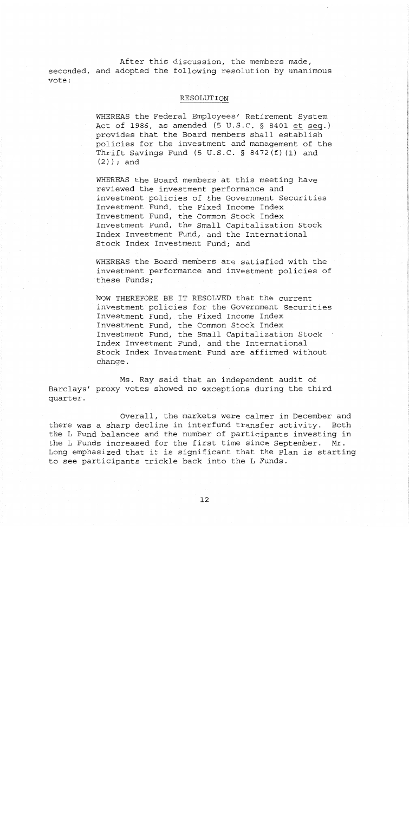After this discussion, the members made, seconded, and adopted the following resolution by unanimous vote:

## RESOLUTION

WHEREAS the Federal Employees' Retirement System MHEREAS the Federal Employees' Retirement System<br>Act of 1986, as amended (5 U.S.C. § 8401 et seq.) provides that the Board members shall establish policies for the investment and management of the Thrift Savings Fund (5 U.S.C. § 8472(f) (1) and (2)) ; and

WHEREAS the Board members at this meeting have reviewed the investment performance and investment policies of the Government Securities Investment Fund, the Fixed Income Index Investment Fund, the Common Stock Index Investment Fund, the Small Capitalization Stock Index Investment Fund, and the International Stock Index Investment Fund; and

WHEREAS the Board members are satisfied with the investment performance and investment policies of these Funds;

NOW THEREFORE BE IT RESOLVED that the current investment policies for the Government Securities Investment Fund, the Fixed Income Index Investment Fund, the Common Stock Index Investment Fund, the Small Capitalization Stock . Index Investment Fund, and the International Stock Index Investment Fund are affirmed without change.

Ms. Ray said that an independent audit of Barclays' proxy votes showed no exceptions during the third quarter.

Overall, the markets were calmer in December and there was a sharp decline in interfund transfer activity. Both the L Fund balances and the number of participants investing in the L Funds increased for the first time since September. Mr. Long emphasized that it is significant that the Plan is starting to see participants trickle back into the L Funds.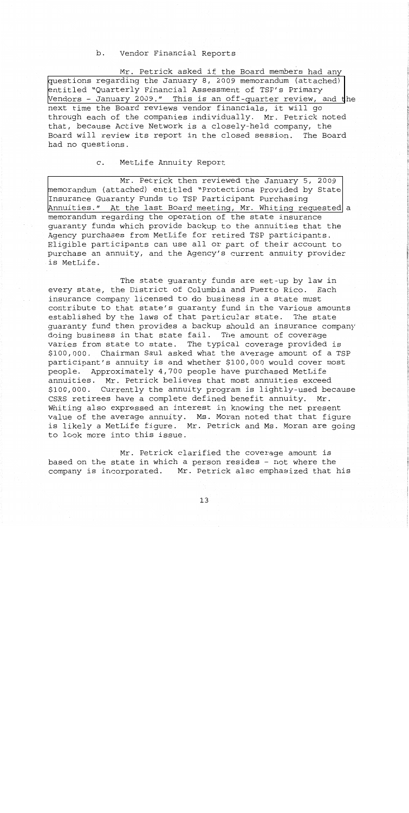# b. Vendor Financial Reports

Mr. Petrick asked if the Board members had any [questions regarding the January 8, 2009 memorandum \(attached\)](http://www.frtib.gov/pdf/minutes/MM-2009Jan-Att4quartassessment.pdf)  entitled "Ouarterly Financial Assessment of TSP's Primary Vendors - January 2009." This is an off-quarter review, and the next time the Board reviews vendor financials, it will go through each of the companies individually. Mr. Petrick noted that, because Active Network is a closely-held company, the Board will review its report in the closed session. The Board had no questions.

#### MetLife Annuity Report  $\mathsf{C}$ .

Mr. Petrick then reviewed the January 5, 2009 [memorandum \(attached\) entitled "Protections Provided by State](http://www.frtib.gov/pdf/minutes/MM-2009Jan-Att5protection.pdf)  Insurance Guaranty Funds to TSP Participant Purchasing Annuities." At the last Board meeting, Mr. Whiting requested a memorandum regarding the operation of the state insurance guaranty funds which provide backup to the annuities that the Agency purchases from MetLife for retired TSP participants. Eligible participants can use all or part of their account to purchase an annuity, and the Agency's current annuity provider is MetLife.

The state guaranty funds are set-up by law in every state, the District of Columbia and Puerto Rico. Each insurance company licensed to do business in a state must contribute to that state's guaranty fund in the various amounts established by the laws of that particular state. The state guaranty fund then provides a backup should an insurance company doing business in that state fail. The amount of coverage varies from state to state. The typical coverage provided is \$100,000. Chairman Saul asked what the average amount of a TSP participant's annuity is and whether \$100,000 would cover most people. Approximately 4,700 people have purchased MetLife annuities. Mr. Petrick believes that most annuities exceed \$100,000. Currently the annuity program is lightly-used because CSRS retirees have a complete defined benefit annuity. Mr. Whiting also expressed an interest in knowing the net present value of the average annuity. Ms. Moran noted that that figure is likely a MetLife figure. Mr. Petrick and Ms. Moran are going to look more into this issue.

Mr. Petrick clarified the coverage amount is based on the state in which a person resides - not where the company is incorporated. Mr. Petrick also emphasized that his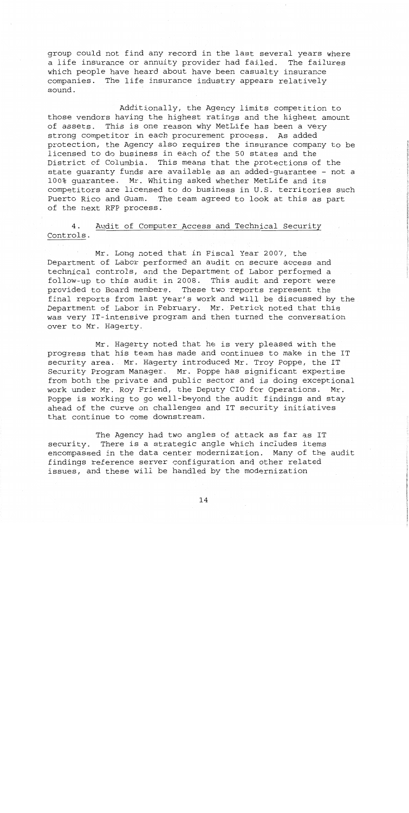group could not find any record in the last several years where a life insurance or annuity provider had failed. The failures which people have heard about have been casualty insurance companies. The life insurance industry appears relatively sound.

Additionally, the Agency limits competition to those vendors having the highest ratings and the highest amount of assets. This is one reason why MetLife has been a very strong competitor in each procurement process. As added protection, the Agency also requires the insurance company to be licensed to do business in each of the 50 states and the District of Columbia. This means that the protections of the state guaranty funds are available as an added-guarantee - not a **100%** guarantee. Mr. Whiting asked whether MetLife and its competitors are licensed to do business in U.S. territories such Puerto Rico and Guam. The team agreed to look at this as part of the next RFP process.

4. Audit of Computer Access and Technical Security Controls.

Mr. Long noted that in Fiscal Year 2007, the Department of Labor performed an audit on secure access and technical controls, and the Department of Labor performed a follow-up to this audit in 2008. This audit and report were provided to Board members. These two-reports represent the final reports from last year's work and will be discussed by the Department of Labor in February. Mr. Petrick noted that this was very IT-intensive program and then turned the conversation over to Mr. Hagerty.

Mr. Hagerty noted that he is very pleased with the progress that his team has made and continues to make in the IT security area. Mr. Hagerty introduced Mr. Troy Poppe, the IT Security Program Manager. Mr. Poppe has significant expertise from both the private and public sector and is doing exceptional work under Mr. Roy Friend, the Deputy CIO for Operations. Mr. Poppe is working to go well-beyond the audit findings and stay ahead of the curve on challenges and IT security initiatives that continue to come downstream.

The Agency had two angles of attack as far as IT security. There is a strategic angle which includes items encompassed in the data center modernization. Many of the audit findings reference server configuration and other related issues, and these will be handled by the modernization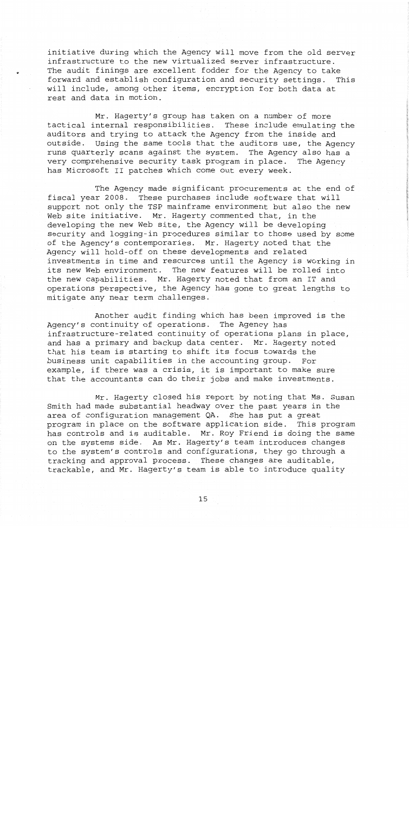initiative during which the Agency will move from the old server infrastructure to the new virtualized server infrastructure. The audit finings are excellent fodder for the Agency to take forward and establish configuration and security settings. This will include, among other items, encryption for both data at rest and data in motion.

Mr. Hagerty's group has taken on a number of more tactical internal responsibilities. These include emulating the **<sup>1</sup>** auditors and trying to attack the Agency from the inside and outside. Using the same tools that the auditors use, the Agency runs quarterly scans against the system. The Agency also has a very comprehensive security task program in place. The Agency has Microsoft I1 patches which come out every week.

1

The Agency made significant procurements at the end of fiscal year **2008.** These purchases include software that will support not only the TSP mainframe environment but also the new Web site initiative. Mr. Hagerty commented that, in the developing the new Web site, the Agency will be developing security and logging-in procedures similar to those used by some of the Agency's contemporaries. Mr. Hagerty noted that the Agency will hold-off on these developments and related investments in time and resources until the Agency is working in its new Web environment. The new features will be rolled into the new capabilities. Mr. Hagerty noted that from an IT and operations perspective, the Agency has gone to great lengths to mitigate any near term challenges.

Another audit finding which has been improved is the Agency's continuity of operations. The Agency has infrastructure-related continuity of operations plans in place, and has a primary and backup data center. Mr. Hagerty noted that his team is starting to shift its focus towards the business unit capabilities in the accounting group. For example, if there was a crisis, it is important to make sure that the accountants can do their jobs and make investments.

Mr. Hagerty closed his report by noting that Ms. Susan Smith had made substantial headway over the past years in the area of configuration management QA. She has put a great program in place on the software application side. This program has controls and is auditable. Mr. Roy Friend is doing the same on the systems side. As Mr. Hagerty's team introduces changes to the system's controls and configurations, they go through a tracking and approval process. These changes are auditable, trackable, and Mr. Hagerty's team is able to introduce quality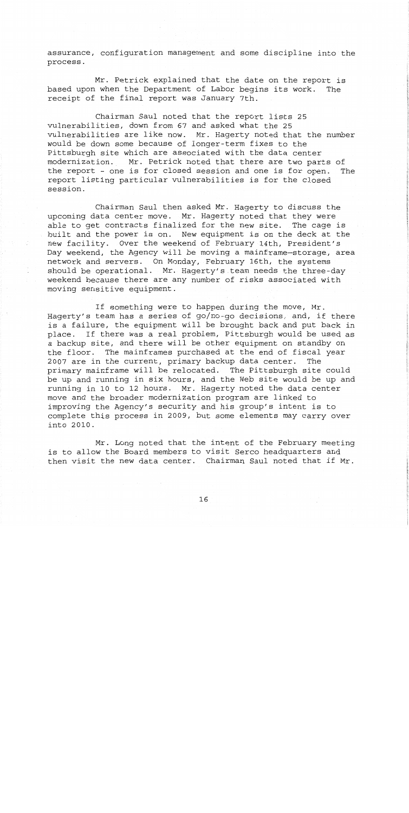assurance, configuration management and some discipline into the process.

Mr. Petrick explained that the date on the report is based upon when the Department of Labor begins its work. The receipt of the final report was January 7th.

Chairman Saul noted that the report lists 25 vulnerabilities, down from 67 and asked what the 25 vulnerabilities are like now. Mr. Hagerty noted that the number would be down some because of longer-term fixes to the Pittsburgh site which are associated with the data center modernization. Mr. Petrick noted that there are two parts of the report - one is for closed session and one is for open. The report listing particular vulnerabilities is for the closed session.

Chairman Saul then asked Mr. Hagerty to discuss the upcoming data center move. Mr. Hagerty noted that they were able to get contracts finalized for the new site. The cage is built and the power is on. New equipment is on the deck at the new facility. Over the weekend of February 14th, President's Day weekend, the Agency will be moving **a** mainframe-storage, area network and servers. On Monday, February 16th, the systems should be operational. Mr. Hagerty's team needs the three-day weekend because there are any number of risks associated with moving sensitive equipment.

If something were to happen during the move, Mr. Hagerty's team has a series of go/no-go decisions, and, if there is a failure, the equipment will be brought back and put back in place. If there was a real problem, Pittsburgh would be used as a backup site, and there will be other equipment on standby on the floor. The mainframes purchased at the end of fiscal year 2007 are in the current, primary backup data center. The primary mainframe will be relocated. The Pittsburgh site could be up and running in six hours, and the Web site would be up and running in 10 to 12 hours. Mr. Hagerty noted the data center move and the broader modernization program are linked to improving the Agency's security and his group's intent is to complete this process in 2009, but some elements may carry over into 2010.

Mr. Long noted that the intent of the February meeting is to allow the Board members to visit Serco headquarters and then visit the new data center. Chairman Saul noted that if Mr.